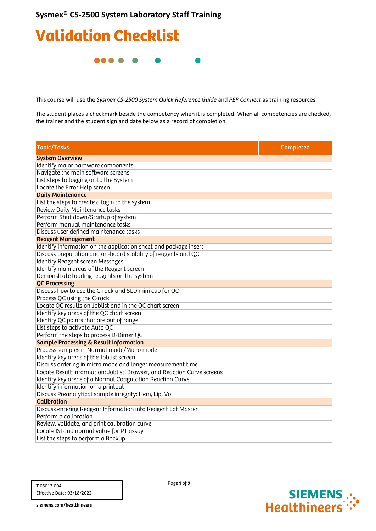## Validation Checklist

**.... .** 

This course will use the *Sysmex CS-2500 System Quick Reference Guide* and *PEP Connect* as training resources.

The student places a checkmark beside the competency when it is completed. When all competencies are checked, the trainer and the student sign and date below as a record of completion.

| <b>Topic/Tasks</b>                                                      | Completed |
|-------------------------------------------------------------------------|-----------|
| <b>System Overview</b>                                                  |           |
| Identify major hardware components                                      |           |
| Navigate the main software screens                                      |           |
| List steps to logging on to the System                                  |           |
| Locate the Error Help screen                                            |           |
| <b>Daily Maintenance</b>                                                |           |
| List the steps to create a login to the system                          |           |
| Review Daily Maintenance tasks                                          |           |
| Perform Shut down/Startup of system                                     |           |
| Perform manual maintenance tasks                                        |           |
| Discuss user defined maintenance tasks                                  |           |
| <b>Reagent Management</b>                                               |           |
| Identify information on the application sheet and package insert        |           |
| Discuss preparation and on-board stability of reagents and QC           |           |
| <b>Identify Reagent screen Messages</b>                                 |           |
| Identify main areas of the Reagent screen                               |           |
| Demonstrate loading reagents on the system                              |           |
| <b>QC Processing</b>                                                    |           |
| Discuss how to use the C-rack and SLD mini cup for QC                   |           |
| Process QC using the C-rack                                             |           |
| Locate QC results on Joblist and in the QC chart screen                 |           |
| Identify key areas of the QC chart screen                               |           |
| Identify QC points that are out of range                                |           |
| List steps to activate Auto QC                                          |           |
| Perform the steps to process D-Dimer QC                                 |           |
| <b>Sample Processing &amp; Result Information</b>                       |           |
| Process samples in Normal mode/Micro mode                               |           |
| Identify key areas of the Joblist screen                                |           |
| Discuss ordering in micro mode and longer measurement time              |           |
| Locate Result information: Joblist, Browser, and Reaction Curve screens |           |
| Identify key areas of a Normal Coagulation Reaction Curve               |           |
| Identify information on a printout                                      |           |
| Discuss Preanalytical sample integrity: Hem, Lip, Vol                   |           |
| <b>Calibration</b>                                                      |           |
| Discuss entering Reagent Information into Reagent Lot Master            |           |
| Perform a calibration                                                   |           |
| Review, validate, and print calibration curve                           |           |
| Locate ISI and normal value for PT assay                                |           |
| List the steps to perform a Backup                                      |           |

Page 1 of 2



siemens.com/healthineers